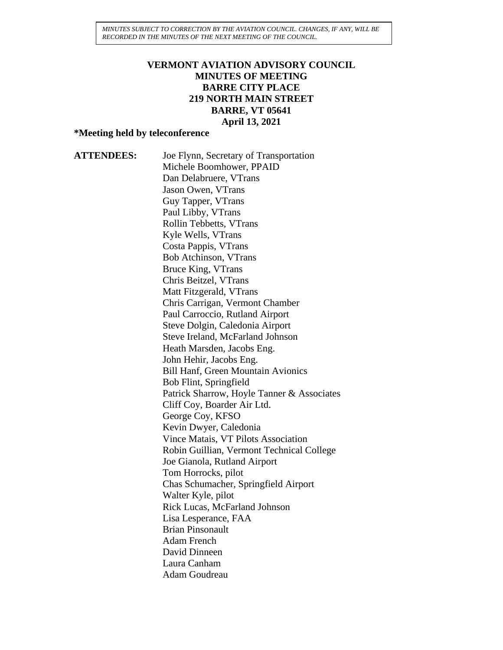*MINUTES SUBJECT TO CORRECTION BY THE AVIATION COUNCIL. CHANGES, IF ANY, WILL BE RECORDED IN THE MINUTES OF THE NEXT MEETING OF THE COUNCIL.*

#### **VERMONT AVIATION ADVISORY COUNCIL MINUTES OF MEETING BARRE CITY PLACE 219 NORTH MAIN STREET BARRE, VT 05641 April 13, 2021**

#### **\*Meeting held by teleconference**

**ATTENDEES:** Joe Flynn, Secretary of Transportation Michele Boomhower, PPAID Dan Delabruere, VTrans Jason Owen, VTrans Guy Tapper, VTrans Paul Libby, VTrans Rollin Tebbetts, VTrans Kyle Wells, VTrans Costa Pappis, VTrans Bob Atchinson, VTrans Bruce King, VTrans Chris Beitzel, VTrans Matt Fitzgerald, VTrans Chris Carrigan, Vermont Chamber Paul Carroccio, Rutland Airport Steve Dolgin, Caledonia Airport Steve Ireland, McFarland Johnson Heath Marsden, Jacobs Eng. John Hehir, Jacobs Eng. Bill Hanf, Green Mountain Avionics Bob Flint, Springfield Patrick Sharrow, Hoyle Tanner & Associates Cliff Coy, Boarder Air Ltd. George Coy, KFSO Kevin Dwyer, Caledonia Vince Matais, VT Pilots Association Robin Guillian, Vermont Technical College Joe Gianola, Rutland Airport Tom Horrocks, pilot Chas Schumacher, Springfield Airport Walter Kyle, pilot Rick Lucas, McFarland Johnson Lisa Lesperance, FAA Brian Pinsonault Adam French David Dinneen Laura Canham Adam Goudreau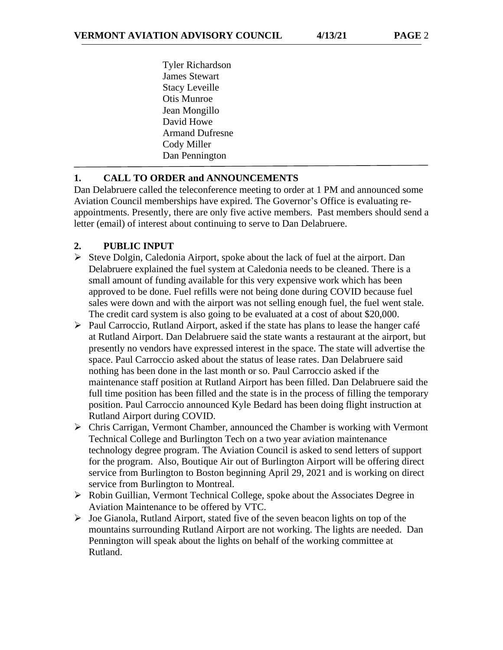Tyler Richardson James Stewart Stacy Leveille Otis Munroe Jean Mongillo David Howe Armand Dufresne Cody Miller Dan Pennington

### **1. CALL TO ORDER and ANNOUNCEMENTS**

Dan Delabruere called the teleconference meeting to order at 1 PM and announced some Aviation Council memberships have expired. The Governor's Office is evaluating reappointments. Presently, there are only five active members. Past members should send a letter (email) of interest about continuing to serve to Dan Delabruere.

### **2. PUBLIC INPUT**

- ➢ Steve Dolgin, Caledonia Airport, spoke about the lack of fuel at the airport. Dan Delabruere explained the fuel system at Caledonia needs to be cleaned. There is a small amount of funding available for this very expensive work which has been approved to be done. Fuel refills were not being done during COVID because fuel sales were down and with the airport was not selling enough fuel, the fuel went stale. The credit card system is also going to be evaluated at a cost of about \$20,000.
- $\triangleright$  Paul Carroccio, Rutland Airport, asked if the state has plans to lease the hanger café at Rutland Airport. Dan Delabruere said the state wants a restaurant at the airport, but presently no vendors have expressed interest in the space. The state will advertise the space. Paul Carroccio asked about the status of lease rates. Dan Delabruere said nothing has been done in the last month or so. Paul Carroccio asked if the maintenance staff position at Rutland Airport has been filled. Dan Delabruere said the full time position has been filled and the state is in the process of filling the temporary position. Paul Carroccio announced Kyle Bedard has been doing flight instruction at Rutland Airport during COVID.
- ➢ Chris Carrigan, Vermont Chamber, announced the Chamber is working with Vermont Technical College and Burlington Tech on a two year aviation maintenance technology degree program. The Aviation Council is asked to send letters of support for the program. Also, Boutique Air out of Burlington Airport will be offering direct service from Burlington to Boston beginning April 29, 2021 and is working on direct service from Burlington to Montreal.
- ➢ Robin Guillian, Vermont Technical College, spoke about the Associates Degree in Aviation Maintenance to be offered by VTC.
- $\triangleright$  Joe Gianola, Rutland Airport, stated five of the seven beacon lights on top of the mountains surrounding Rutland Airport are not working. The lights are needed. Dan Pennington will speak about the lights on behalf of the working committee at Rutland.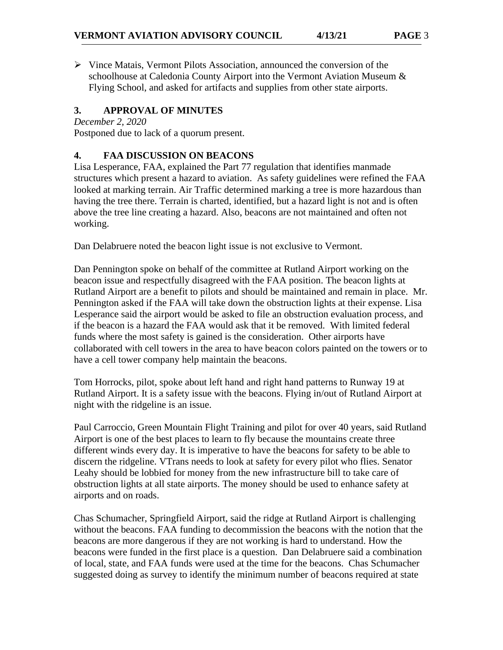$\triangleright$  Vince Matais, Vermont Pilots Association, announced the conversion of the schoolhouse at Caledonia County Airport into the Vermont Aviation Museum & Flying School, and asked for artifacts and supplies from other state airports.

# **3. APPROVAL OF MINUTES**

*December 2, 2020* Postponed due to lack of a quorum present.

### **4. FAA DISCUSSION ON BEACONS**

Lisa Lesperance, FAA, explained the Part 77 regulation that identifies manmade structures which present a hazard to aviation. As safety guidelines were refined the FAA looked at marking terrain. Air Traffic determined marking a tree is more hazardous than having the tree there. Terrain is charted, identified, but a hazard light is not and is often above the tree line creating a hazard. Also, beacons are not maintained and often not working.

Dan Delabruere noted the beacon light issue is not exclusive to Vermont.

Dan Pennington spoke on behalf of the committee at Rutland Airport working on the beacon issue and respectfully disagreed with the FAA position. The beacon lights at Rutland Airport are a benefit to pilots and should be maintained and remain in place. Mr. Pennington asked if the FAA will take down the obstruction lights at their expense. Lisa Lesperance said the airport would be asked to file an obstruction evaluation process, and if the beacon is a hazard the FAA would ask that it be removed. With limited federal funds where the most safety is gained is the consideration. Other airports have collaborated with cell towers in the area to have beacon colors painted on the towers or to have a cell tower company help maintain the beacons.

Tom Horrocks, pilot, spoke about left hand and right hand patterns to Runway 19 at Rutland Airport. It is a safety issue with the beacons. Flying in/out of Rutland Airport at night with the ridgeline is an issue.

Paul Carroccio, Green Mountain Flight Training and pilot for over 40 years, said Rutland Airport is one of the best places to learn to fly because the mountains create three different winds every day. It is imperative to have the beacons for safety to be able to discern the ridgeline. VTrans needs to look at safety for every pilot who flies. Senator Leahy should be lobbied for money from the new infrastructure bill to take care of obstruction lights at all state airports. The money should be used to enhance safety at airports and on roads.

Chas Schumacher, Springfield Airport, said the ridge at Rutland Airport is challenging without the beacons. FAA funding to decommission the beacons with the notion that the beacons are more dangerous if they are not working is hard to understand. How the beacons were funded in the first place is a question. Dan Delabruere said a combination of local, state, and FAA funds were used at the time for the beacons. Chas Schumacher suggested doing as survey to identify the minimum number of beacons required at state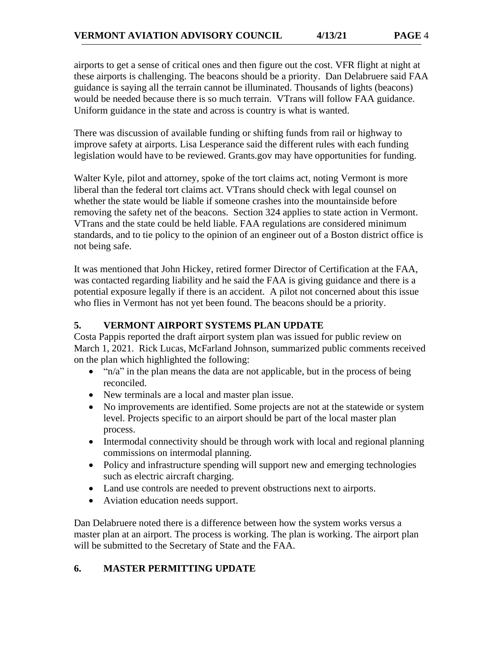airports to get a sense of critical ones and then figure out the cost. VFR flight at night at these airports is challenging. The beacons should be a priority. Dan Delabruere said FAA guidance is saying all the terrain cannot be illuminated. Thousands of lights (beacons) would be needed because there is so much terrain. VTrans will follow FAA guidance. Uniform guidance in the state and across is country is what is wanted.

There was discussion of available funding or shifting funds from rail or highway to improve safety at airports. Lisa Lesperance said the different rules with each funding legislation would have to be reviewed. Grants.gov may have opportunities for funding.

Walter Kyle, pilot and attorney, spoke of the tort claims act, noting Vermont is more liberal than the federal tort claims act. VTrans should check with legal counsel on whether the state would be liable if someone crashes into the mountainside before removing the safety net of the beacons. Section 324 applies to state action in Vermont. VTrans and the state could be held liable. FAA regulations are considered minimum standards, and to tie policy to the opinion of an engineer out of a Boston district office is not being safe.

It was mentioned that John Hickey, retired former Director of Certification at the FAA, was contacted regarding liability and he said the FAA is giving guidance and there is a potential exposure legally if there is an accident. A pilot not concerned about this issue who flies in Vermont has not yet been found. The beacons should be a priority.

## **5. VERMONT AIRPORT SYSTEMS PLAN UPDATE**

Costa Pappis reported the draft airport system plan was issued for public review on March 1, 2021. Rick Lucas, McFarland Johnson, summarized public comments received on the plan which highlighted the following:

- " $n/a$ " in the plan means the data are not applicable, but in the process of being reconciled.
- New terminals are a local and master plan issue.
- No improvements are identified. Some projects are not at the statewide or system level. Projects specific to an airport should be part of the local master plan process.
- Intermodal connectivity should be through work with local and regional planning commissions on intermodal planning.
- Policy and infrastructure spending will support new and emerging technologies such as electric aircraft charging.
- Land use controls are needed to prevent obstructions next to airports.
- Aviation education needs support.

Dan Delabruere noted there is a difference between how the system works versus a master plan at an airport. The process is working. The plan is working. The airport plan will be submitted to the Secretary of State and the FAA.

# **6. MASTER PERMITTING UPDATE**